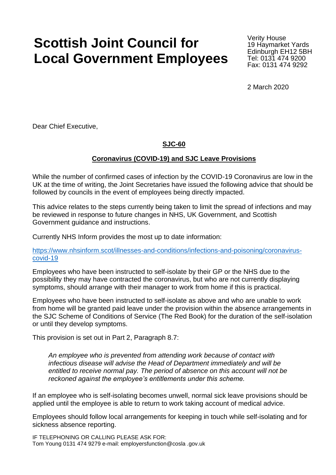## **Scottish Joint Council for Local Government Employees**

Verity House 19 Haymarket Yards Edinburgh EH12 5BH Tel: 0131 474 9200 Fax: 0131 474 9292

2 March 2020

Dear Chief Executive,

## **SJC-60**

## **Coronavirus (COVID-19) and SJC Leave Provisions**

While the number of confirmed cases of infection by the COVID-19 Coronavirus are low in the UK at the time of writing, the Joint Secretaries have issued the following advice that should be followed by councils in the event of employees being directly impacted.

This advice relates to the steps currently being taken to limit the spread of infections and may be reviewed in response to future changes in NHS, UK Government, and Scottish Government guidance and instructions.

Currently NHS Inform provides the most up to date information:

[https://www.nhsinform.scot/illnesses-and-conditions/infections-and-poisoning/coronavirus](https://www.nhsinform.scot/illnesses-and-conditions/infections-and-poisoning/coronavirus-covid-19)[covid-19](https://www.nhsinform.scot/illnesses-and-conditions/infections-and-poisoning/coronavirus-covid-19)

Employees who have been instructed to self-isolate by their GP or the NHS due to the possibility they may have contracted the coronavirus, but who are not currently displaying symptoms, should arrange with their manager to work from home if this is practical.

Employees who have been instructed to self-isolate as above and who are unable to work from home will be granted paid leave under the provision within the absence arrangements in the SJC Scheme of Conditions of Service (The Red Book) for the duration of the self-isolation or until they develop symptoms.

This provision is set out in Part 2, Paragraph 8.7:

*An employee who is prevented from attending work because of contact with infectious disease will advise the Head of Department immediately and will be entitled to receive normal pay. The period of absence on this account will not be reckoned against the employee's entitlements under this scheme.*

If an employee who is self-isolating becomes unwell, normal sick leave provisions should be applied until the employee is able to return to work taking account of medical advice.

Employees should follow local arrangements for keeping in touch while self-isolating and for sickness absence reporting.

IF TELEPHONING OR CALLING PLEASE ASK FOR: Tom Young 0131 474 9279 e-mail: employersfunction@cosla .gov.uk